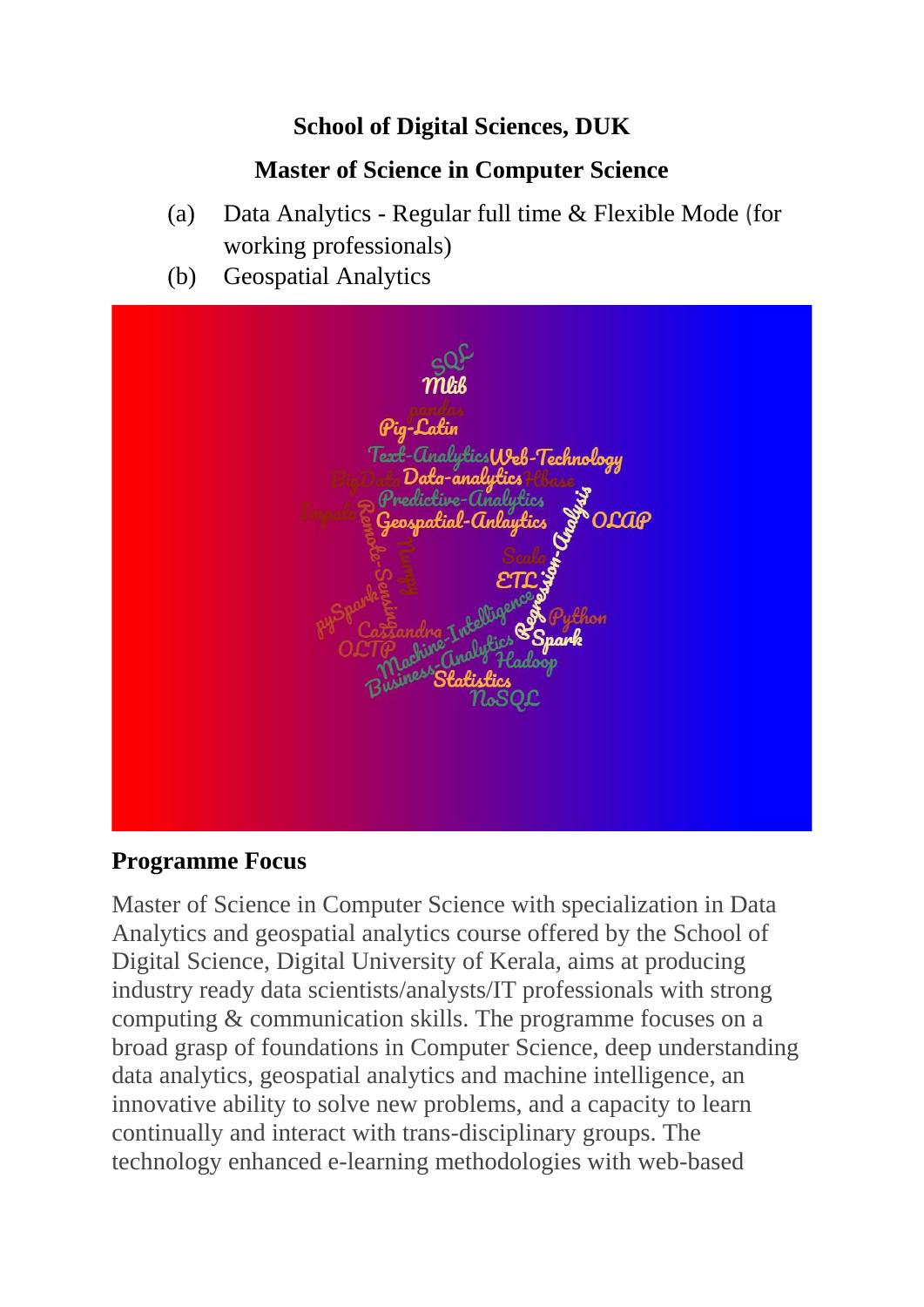## **School of Digital Sciences, DUK**

## **Master of Science in Computer Science**

- (a) Data Analytics Regular full time & Flexible Mode (for working professionals)
- (b) Geospatial Analytics



#### **Programme Focus**

Master of Science in Computer Science with specialization in Data Analytics and geospatial analytics course offered by the School of Digital Science, Digital University of Kerala, aims at producing industry ready data scientists/analysts/IT professionals with strong computing & communication skills. The programme focuses on a broad grasp of foundations in Computer Science, deep understanding data analytics, geospatial analytics and machine intelligence, an innovative ability to solve new problems, and a capacity to learn continually and interact with trans-disciplinary groups. The technology enhanced e-learning methodologies with web-based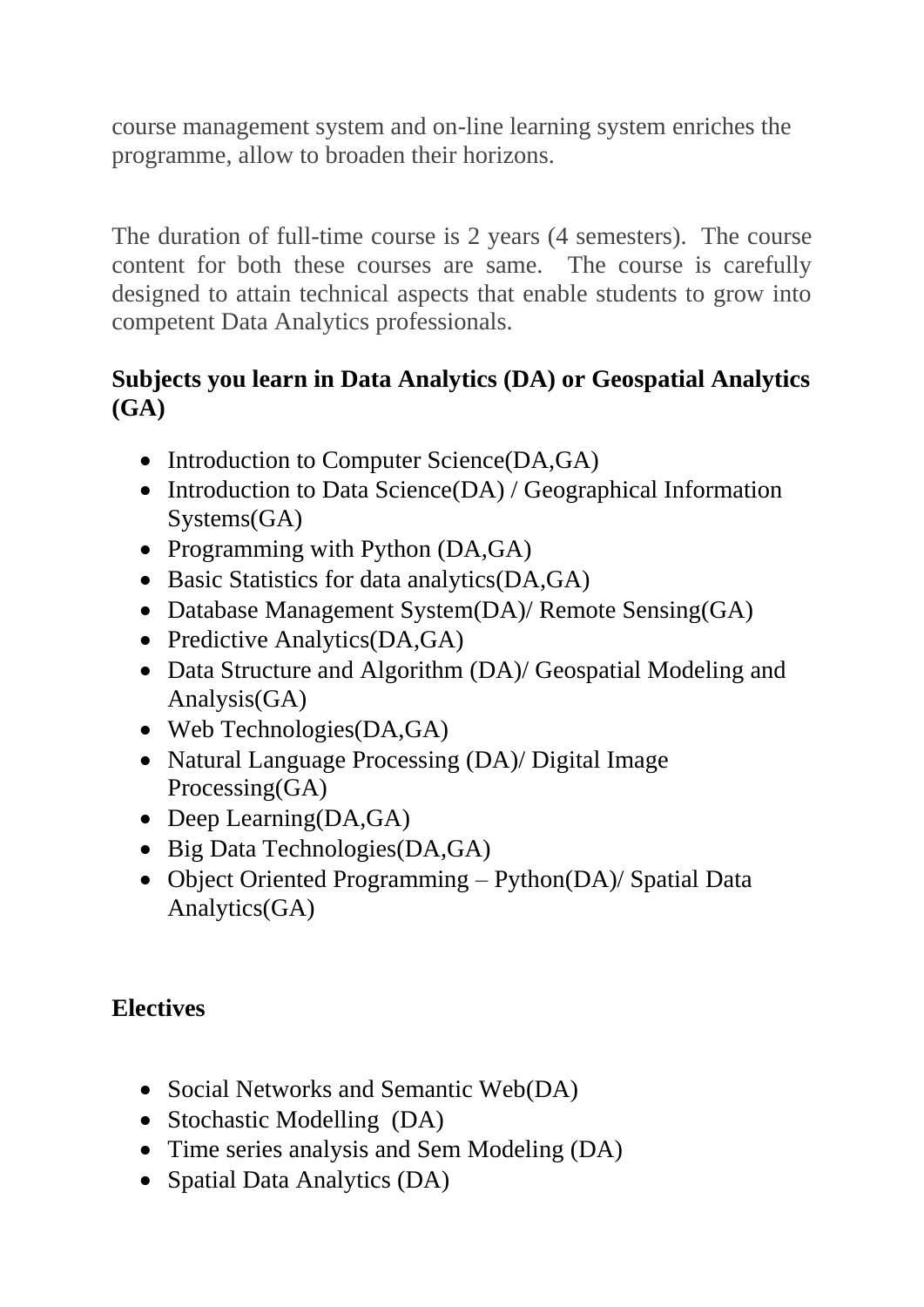course management system and on-line learning system enriches the programme, allow to broaden their horizons.

The duration of full-time course is 2 years (4 semesters). The course content for both these courses are same. The course is carefully designed to attain technical aspects that enable students to grow into competent Data Analytics professionals.

## **Subjects you learn in Data Analytics (DA) or Geospatial Analytics (GA)**

- Introduction to Computer Science(DA,GA)
- Introduction to Data Science(DA) / Geographical Information Systems(GA)
- Programming with Python (DA,GA)
- Basic Statistics for data analytics(DA,GA)
- Database Management System(DA)/ Remote Sensing(GA)
- Predictive Analytics(DA,GA)
- Data Structure and Algorithm (DA)/ Geospatial Modeling and Analysis(GA)
- Web Technologies(DA,GA)
- Natural Language Processing (DA)/ Digital Image Processing(GA)
- Deep Learning(DA,GA)
- Big Data Technologies(DA,GA)
- Object Oriented Programming Python(DA)/ Spatial Data Analytics(GA)

# **Electives**

- Social Networks and Semantic Web(DA)
- Stochastic Modelling (DA)
- Time series analysis and Sem Modeling (DA)
- Spatial Data Analytics (DA)